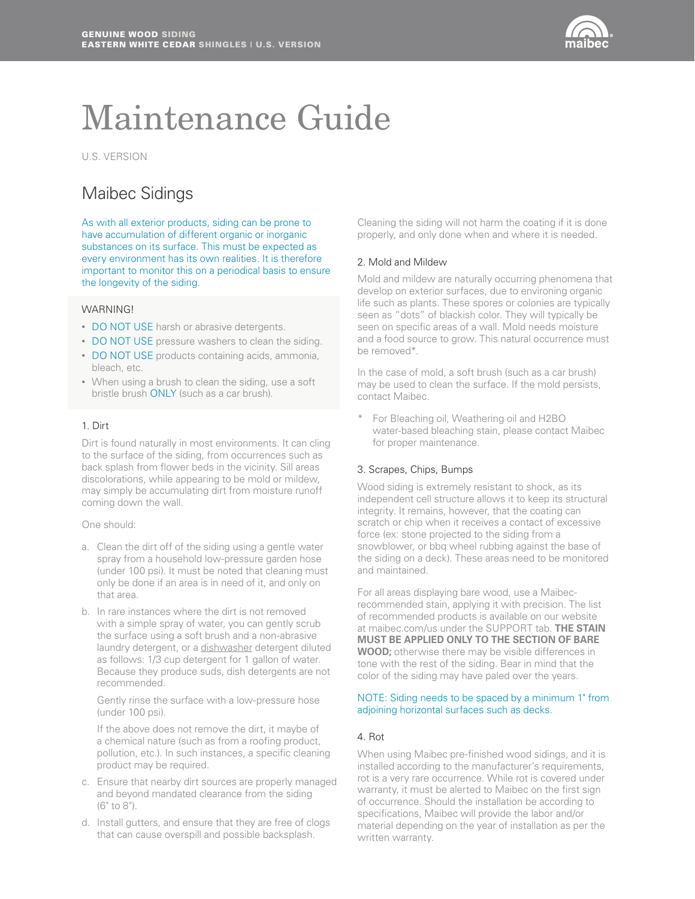

# Maintenance Guide

U.S. VERSION

# Maibec Sidings

As with all exterior products, siding can be prone to have accumulation of different organic or inorganic substances on its surface. This must be expected as every environment has its own realities. It is therefore important to monitor this on a periodical basis to ensure the longevity of the siding.

# **WARNING!**

- DO NOT USE harsh or abrasive detergents.
- DO NOT USE pressure washers to clean the siding.
- DO NOT USE products containing acids, ammonia, bleach, etc.
- When using a brush to clean the siding, use a soft bristle brush ONLY (such as a car brush).

# 1. Dirt

Dirt is found naturally in most environments. It can cling to the surface of the siding, from occurrences such as back splash from flower beds in the vicinity. Sill areas discolorations, while appearing to be mold or mildew, may simply be accumulating dirt from moisture runoff coming down the wall.

#### One should:

- a. Clean the dirt off of the siding using a gentle water spray from a household low-pressure garden hose (under 100 psi). It must be noted that cleaning must only be done if an area is in need of it, and only on that area.
- b. In rare instances where the dirt is not removed with a simple spray of water, you can gently scrub the surface using a soft brush and a non-abrasive laundry detergent, or a dishwasher detergent diluted as follows: 1/3 cup detergent for 1 gallon of water. Because they produce suds, dish detergents are not recommended.

Gently rinse the surface with a low-pressure hose (under 100 psi).

If the above does not remove the dirt, it maybe of a chemical nature (such as from a roofing product, pollution, etc.). In such instances, a specific cleaning product may be required.

- c. Ensure that nearby dirt sources are properly managed and beyond mandated clearance from the siding (6" to 8").
- d. Install gutters, and ensure that they are free of clogs that can cause overspill and possible backsplash.

Cleaning the siding will not harm the coating if it is done properly, and only done when and where it is needed.

# 2. Mold and Mildew

Mold and mildew are naturally occurring phenomena that develop on exterior surfaces, due to environing organic life such as plants. These spores or colonies are typically seen as "dots" of blackish color. They will typically be seen on specific areas of a wall. Mold needs moisture and a food source to grow. This natural occurrence must be removed\*.

In the case of mold, a soft brush (such as a car brush) may be used to clean the surface. If the mold persists, contact Maibec.

For Bleaching oil, Weathering oil and H2BO water-based bleaching stain, please contact Maibec for proper maintenance.

# 3. Scrapes, Chips, Bumps

Wood siding is extremely resistant to shock, as its independent cell structure allows it to keep its structural integrity. It remains, however, that the coating can scratch or chip when it receives a contact of excessive force (ex: stone projected to the siding from a snowblower, or bbq wheel rubbing against the base of the siding on a deck). These areas need to be monitored and maintained.

For all areas displaying bare wood, use a Maibecrecommended stain, applying it with precision. The list of recommended products is available on our website at maibec.com/us under the SUPPORT tab. **THE STAIN MUST BE APPLIED ONLY TO THE SECTION OF BARE WOOD;** otherwise there may be visible differences in tone with the rest of the siding. Bear in mind that the color of the siding may have paled over the years.

#### NOTE: Siding needs to be spaced by a minimum 1" from adjoining horizontal surfaces such as decks.

#### 4. Rot

When using Maibec pre-finished wood sidings, and it is installed according to the manufacturer's requirements, rot is a very rare occurrence. While rot is covered under warranty, it must be alerted to Maibec on the first sign of occurrence. Should the installation be according to specifications, Maibec will provide the labor and/or material depending on the year of installation as per the written warranty.